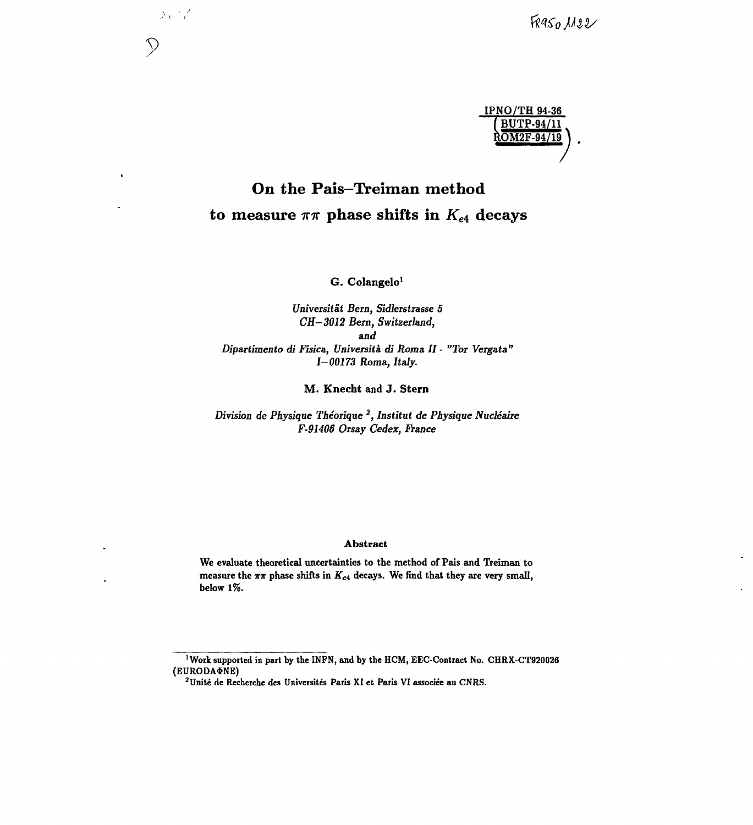

# **On the Pais-Treiman method** to measure  $\pi\pi$  phase shifts in  $K_{e4}$  decays

**9**

L

 $\sum_{i=1}^{n} \frac{1}{i}$ 

**G. Colangelo<sup>1</sup>**

*Universitât Bern, Sidlerstrasse 5 CH-3012 Bern, Switzerland, and Dipartimento di Fisica, Université, di Roma. II - "Tor Vergata" 1-00173 Roma., Italy.*

**M. Knecht** and **J. Stern**

*Division de Physique Théorique<sup>2</sup> , Institut de Physique Nucléaire F-91406 Orsay Cedex, France*

#### **Abstract**

**We evaluate theoretical uncertainties to the method of Pais and Treiman to** measure the  $\pi\pi$  phase shifts in  $K_{e4}$  decays. We find that they are very small, **below 1%.**

<sup>&</sup>lt;sup>1</sup>Work supported in part by the INFN, and by the HCM, EEC-Contract No. CHRX-CT920026 **(EURODASNE)**

**<sup>2</sup> Unité de Recherche des Universités Paris XI et Paris VI associée au CNRS.**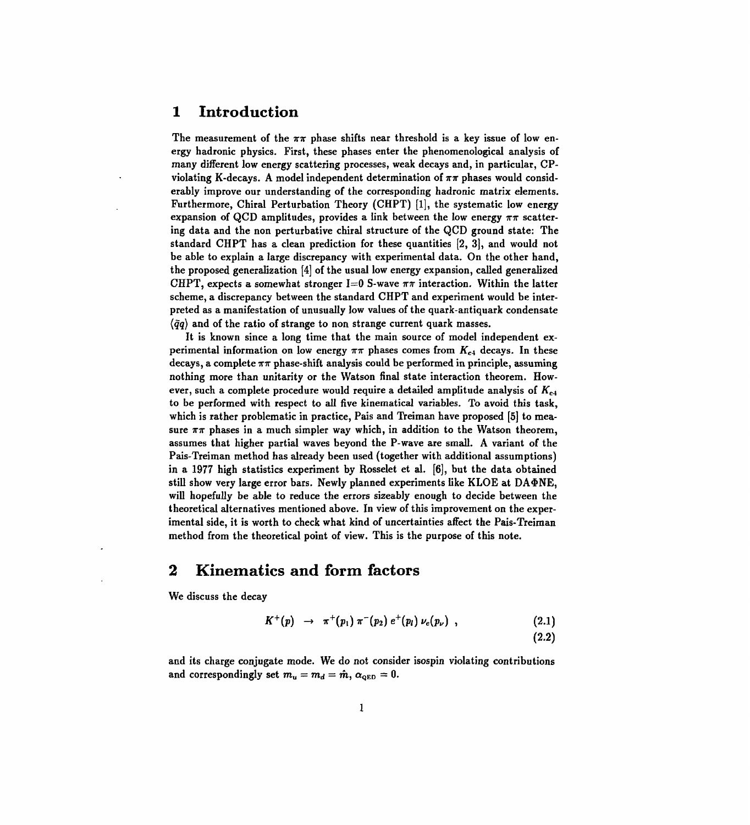#### **1 Introduction**

The measurement of the  $\pi\pi$  phase shifts near threshold is a key issue of low energy hadronic physics. First, these phases enter the phenomenological analysis of many different low energy scattering processes, weak decays and, in particular, CPviolating K-decays. A model independent determination of  $\pi\pi$  phases would considerably improve our understanding of the corresponding hadronic matrix elements. Furthermore, Chiral Perturbation Theory (CHPT) [1], the systematic low energy expansion of QCD amplitudes, provides a link between the low energy  $\pi\pi$  scattering data and the non perturbative chiral structure of the QCD ground state: The standard CHPT has a clean prediction for these quantities [2, 3], and would not be able to explain a large discrepancy with experimental data. On the other hand, the proposed generalization [4] of the usual low energy expansion, called generalized CHPT, expects a somewhat stronger  $I=0$  S-wave  $\pi\pi$  interaction. Within the latter scheme, a discrepancy between the standard CHPT and experiment would be interpreted as a manifestation of unusually low values of the quark-antiquark condensate  $\langle \bar{q}q \rangle$  and of the ratio of strange to non strange current quark masses.

It is known since a long time that the main source of model independent experimental information on low energy  $\pi\pi$  phases comes from  $K_{e4}$  decays. In these decays, a complete  $\pi\pi$  phase-shift analysis could be performed in principle, assuming nothing more than unitarity or the Watson final state interaction theorem. However, such a complete procedure would require a detailed amplitude analysis of *Kei* to be performed with respect to all five kinematical variables. To avoid this task, which is rather problematic in practice, Pais and Treiman have proposed [5] to measure  $\pi\pi$  phases in a much simpler way which, in addition to the Watson theorem, assumes that higher partial waves beyond the P-wave are small. A variant of the Pais-Treiman method has already been used (together with additional assumptions) in a 1977 high statistics experiment by Rosselet et al. [6], but the data obtained still show very large error bars. Newly planned experiments like KLOE at DA $\Phi$ NE, will hopefully be able to reduce the errors sizeably enough to decide between the theoretical alternatives mentioned above. In view of this improvement on the experimental side, it is worth to check what kind of uncertainties affect the Pais-Treiman method from the theoretical point of view. This is the purpose of this note.

### **2 Kinematics and form factors**

We discuss the decay

$$
K^+(p) \to \pi^+(p_1) \pi^-(p_2) e^+(p_l) \nu_e(p_\nu) , \qquad (2.1)
$$

 $(2.2)$ 

and its charge conjugate mode. We do not consider isospin violating contributions and correspondingly set  $m_u = m_d = \hat{m}$ ,  $\alpha_{\text{QED}} = 0$ .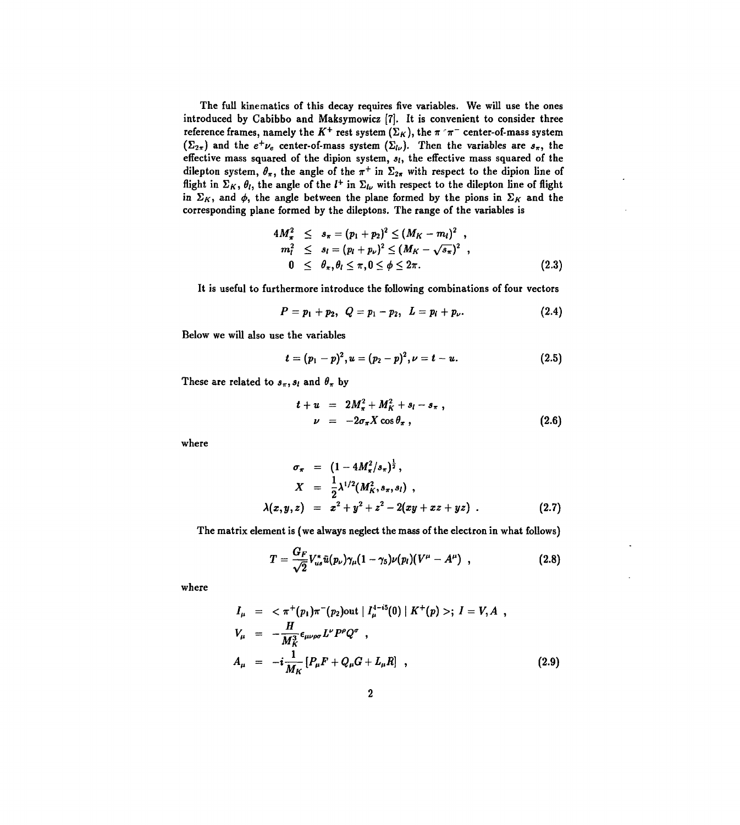The full kinematics of this decay requires five variables. We will use the ones introduced by Cabibbo and Maksymowicz [7]. It is convenient to consider three reference frames, namely the  $K^+$  rest system  $(\Sigma_K)$ , the  $\pi$   $\tau$   $\tau^-$  center-of-mass system  $(\Sigma_{2\pi})$  and the  $e^+ \nu_e$  center-of-mass system  $(\Sigma_{l\nu})$ . Then the variables are  $s_{\pi}$ , the effective mass squared of the dipion system, *si,* the effective mass squared of the dilepton system,  $\theta_{\pi}$ , the angle of the  $\pi^+$  in  $\Sigma_{2\pi}$  with respect to the dipion line of flight in  $\Sigma_K$ ,  $\theta_l$ , the angle of the  $l^+$  in  $\Sigma_{l\nu}$  with respect to the dilepton line of flight in  $\Sigma_K$ , and  $\phi$ , the angle between the plane formed by the pions in  $\Sigma_K$  and the corresponding plane formed by the dileptons. The range of the variables is

$$
4M_{\pi}^2 \leq s_{\pi} = (p_1 + p_2)^2 \leq (M_K - m_l)^2 ,m_l^2 \leq s_l = (p_l + p_{\nu})^2 \leq (M_K - \sqrt{s_{\pi}})^2 ,0 \leq \theta_{\pi}, \theta_l \leq \pi, 0 \leq \phi \leq 2\pi.
$$
 (2.3)

It is useful to furthermore introduce the following combinations of four vectors

$$
P = p_1 + p_2, \ \ Q = p_1 - p_2, \ \ L = p_i + p_\nu. \ \ (2.4)
$$

Below we will also use the variables

$$
t=(p_1-p)^2, u=(p_2-p)^2, \nu=t-u. \hspace{1.5cm} (2.5)
$$

These are related to  $s_{\pi}$ ,  $s_{l}$  and  $\theta_{\pi}$  by

$$
t + u = 2M_{\pi}^2 + M_K^2 + s_l - s_{\pi} ,
$$
  

$$
\nu = -2\sigma_{\pi} X \cos \theta_{\pi} ,
$$
 (2.6)

where

$$
\sigma_{\pi} = (1 - 4M_{\pi}^2/s_{\pi})^{\frac{1}{2}},
$$
  
\n
$$
X = \frac{1}{2}\lambda^{1/2}(M_{K}^2, s_{\pi}, s_{l}),
$$
  
\n
$$
\lambda(x, y, z) = x^2 + y^2 + z^2 - 2(xy + xz + yz).
$$
 (2.7)

The matrix element is (we always neglect the mass of the electron in what follows)

$$
T=\frac{G_F}{\sqrt{2}}V_{us}^*\tilde{u}(p_\nu)\gamma_\mu(1-\gamma_5)\nu(p_l)(V^\mu-A^\mu)\quad ,\qquad (2.8)
$$

where

$$
I_{\mu} = \langle \pi^+(p_1) \pi^-(p_2) \text{out} | I_{\mu}^{4-i5}(0) | K^+(p) \rangle; I = V, A,
$$
  
\n
$$
V_{\mu} = -\frac{H}{M_K^3} \epsilon_{\mu\nu\rho\sigma} L^{\nu} P^{\rho} Q^{\sigma},
$$
  
\n
$$
A_{\mu} = -i \frac{1}{M_K} [P_{\mu} F + Q_{\mu} G + L_{\mu} R],
$$
\n(2.9)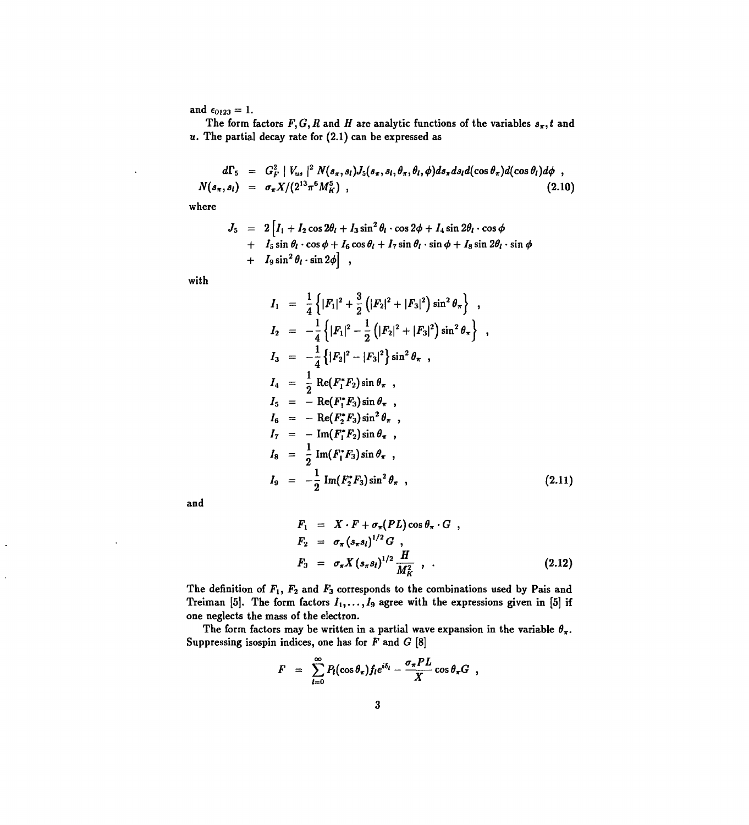and  $\epsilon_{0123} = 1$ .

The form factors  $F, G, R$  and H are analytic functions of the variables  $s_{\pi}$ , t and  $u$ . The partial decay rate for  $(2.1)$  can be expressed as

$$
d\Gamma_5 = G_F^2 |V_{us}|^2 N(s_\pi, s_l) J_5(s_\pi, s_l, \theta_\pi, \theta_l, \phi) ds_\pi ds_l d(\cos \theta_\pi) d(\cos \theta_l) d\phi,
$$
  

$$
N(s_\pi, s_l) = \sigma_\pi X/(2^{13} \pi^6 M_K^5),
$$
 (2.10)

where

$$
J_5 = 2 \left[ I_1 + I_2 \cos 2\theta_l + I_3 \sin^2 \theta_l \cdot \cos 2\phi + I_4 \sin 2\theta_l \cdot \cos \phi + I_5 \sin \theta_l \cdot \cos \phi + I_6 \cos \theta_l + I_7 \sin \theta_l \cdot \sin \phi + I_9 \sin^2 \theta_l \cdot \sin 2\phi \right],
$$

with

$$
I_1 = \frac{1}{4} \left\{ |F_1|^2 + \frac{3}{2} (|F_2|^2 + |F_3|^2) \sin^2 \theta_{\pi} \right\},
$$
  
\n
$$
I_2 = -\frac{1}{4} \left\{ |F_1|^2 - \frac{1}{2} (|F_2|^2 + |F_3|^2) \sin^2 \theta_{\pi} \right\},
$$
  
\n
$$
I_3 = -\frac{1}{4} \left\{ |F_2|^2 - |F_3|^2 \right\} \sin^2 \theta_{\pi},
$$
  
\n
$$
I_4 = \frac{1}{2} \operatorname{Re}(F_1^* F_2) \sin \theta_{\pi},
$$
  
\n
$$
I_5 = - \operatorname{Re}(F_1^* F_3) \sin \theta_{\pi},
$$
  
\n
$$
I_6 = - \operatorname{Re}(F_2^* F_3) \sin^2 \theta_{\pi},
$$
  
\n
$$
I_7 = - \operatorname{Im}(F_1^* F_2) \sin \theta_{\pi},
$$
  
\n
$$
I_8 = \frac{1}{2} \operatorname{Im}(F_1^* F_3) \sin \theta_{\pi},
$$
  
\n
$$
I_9 = -\frac{1}{2} \operatorname{Im}(F_2^* F_3) \sin^2 \theta_{\pi},
$$
  
\n(2.11)

and

$$
F_1 = X \cdot F + \sigma_{\pi}(PL) \cos \theta_{\pi} \cdot G ,
$$
  
\n
$$
F_2 = \sigma_{\pi} (s_{\pi} s_l)^{1/2} G ,
$$
  
\n
$$
F_3 = \sigma_{\pi} X (s_{\pi} s_l)^{1/2} \frac{H}{M_K^2} ,
$$
 (2.12)

The definition of  $F_1$ ,  $F_2$  and  $F_3$  corresponds to the combinations used by Pais and Treiman [5]. The form factors  $I_1, \ldots, I_9$  agree with the expressions given in [5] if one neglects the mass of the electron.

The form factors may be written in a partial wave expansion in the variable  $\theta_{\pi}$ . Suppressing isospin indices, one has for  $F$  and  $G$  [8]

$$
F = \sum_{l=0}^{\infty} P_l(\cos \theta_\pi) f_l e^{i\delta_l} - \frac{\sigma_\pi PL}{X} \cos \theta_\pi G,
$$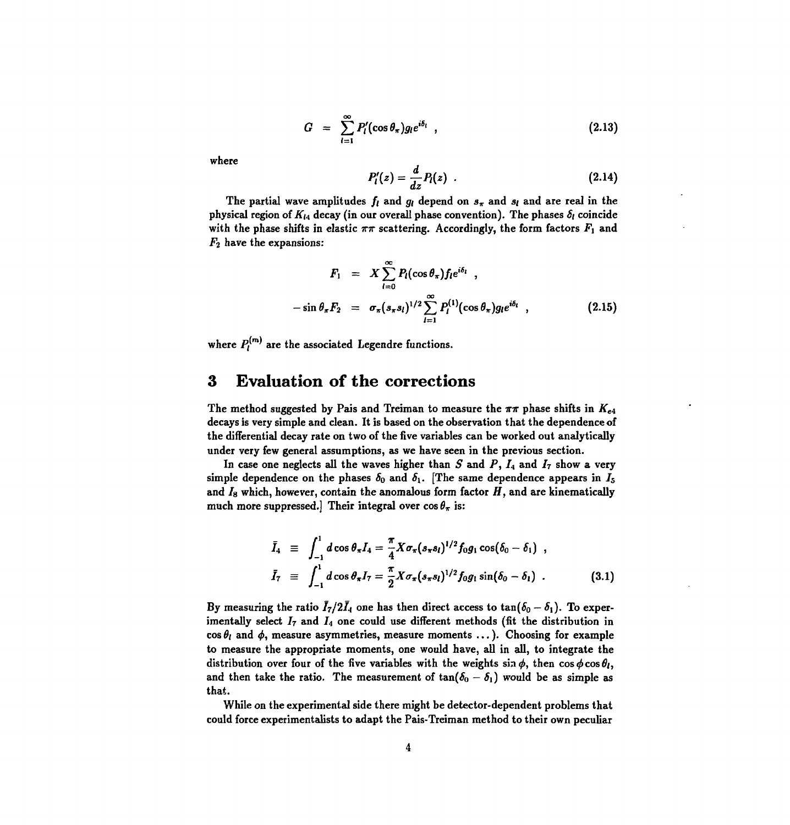$$
G = \sum_{l=1}^{\infty} P'_l(\cos \theta_\pi) g_l e^{i\delta_l} \tag{2.13}
$$

where

$$
P_l'(z) = \frac{d}{dz} P_l(z) \quad . \tag{2.14}
$$

The partial wave amplitudes  $f_i$  and  $g_i$  depend on  $s_{\pi}$  and  $s_i$  and are real in the physical region of  $K_{14}$  decay (in our overall phase convention). The phases  $\delta_l$  coincide with the phase shifts in elastic  $\pi\pi$  scattering. Accordingly, the form factors  $F_1$  and *Fi* have the expansions:

$$
F_1 = X \sum_{l=0}^{\infty} P_l(\cos \theta_{\pi}) f_l e^{i\delta_l} ,
$$
  

$$
-\sin \theta_{\pi} F_2 = \sigma_{\pi}(s_{\pi} s_l)^{1/2} \sum_{l=1}^{\infty} P_l^{(1)}(\cos \theta_{\pi}) g_l e^{i\delta_l} ,
$$
 (2.15)

where  $P_i^{(m)}$  are the associated Legendre functions.

### **3 Evaluation of the corrections**

The method suggested by Pais and Treiman to measure the  $\pi\pi$  phase shifts in  $K_{e4}$ decays is very simple and clean. It is based on the observation that the dependence of the differential decay rate on two of the five variables can be worked out analytically under very few general assumptions, as we have seen in the previous section.

In case one neglects all the waves higher than *S* and *P, I4* and *I7* show a very simple dependence on the phases  $\delta_0$  and  $\delta_1$ . [The same dependence appears in  $I_5$ and  $I_8$  which, however, contain the anomalous form factor  $H$ , and are kinematically much more suppressed.] Their integral over  $\cos \theta_{\pi}$  is:

$$
\bar{I}_4 \equiv \int_{-1}^1 d\cos\theta_\pi I_4 = \frac{\pi}{4} X \sigma_\pi (s_\pi s_l)^{1/2} f_0 g_1 \cos(\delta_0 - \delta_1) ,
$$
\n
$$
\bar{I}_7 \equiv \int_{-1}^1 d\cos\theta_\pi I_7 = \frac{\pi}{2} X \sigma_\pi (s_\pi s_l)^{1/2} f_0 g_1 \sin(\delta_0 - \delta_1) .
$$
\n(3.1)

By measuring the ratio  $\bar{I}_7/2\bar{I}_4$  one has then direct access to  $\tan(\delta_0 - \delta_1)$ . To experimentally select  $I_7$  and  $I_4$  one could use different methods (fit the distribution in  $\cos \theta_l$  and  $\phi$ , measure asymmetries, measure moments ... ). Choosing for example to measure the appropriate moments, one would have, all in all, to integrate the distribution over four of the five variables with the weights  $\sin \phi$ , then  $\cos \phi \cos \theta$ , and then take the ratio. The measurement of  $tan(\delta_0 - \delta_1)$  would be as simple as that.

While on the experimental side there might be detector-dependent problems that could force experimentalists to adapt the Pais-Treiman method to their own peculiar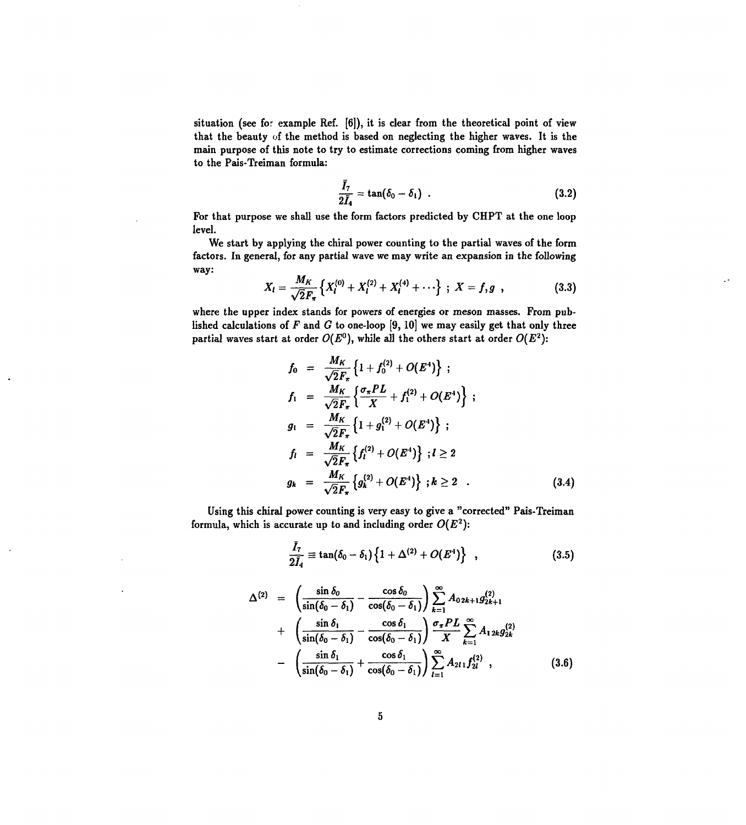situation (see for example Ref. [6]), it is clear from the theoretical point of view that the beauty of the method is based on neglecting the higher waves. It is the main purpose of this note to try to estimate corrections coming from higher waves to the Pais-Treiman formula:

$$
\frac{\bar{I}_7}{2\bar{I}_4} = \tan(\delta_0 - \delta_1) \tag{3.2}
$$

For that purpose we shall use the form factors predicted by CHPT at the one loop level.

We start by applying the chiral power counting to the partial waves of the form factors. In general, for any partial wave we may write an expansion in the following way:

$$
X_l = \frac{M_K}{\sqrt{2}F_\pi} \left\{ X_l^{(0)} + X_l^{(2)} + X_l^{(4)} + \cdots \right\} ;\ X = f, g \ , \qquad (3.3)
$$

where the upper index stands for powers of energies or meson masses. From published calculations of *F* and *G* to one-loop [9, 10] we may easily get that only three partial waves start at order  $O(E^0)$ , while all the others start at order  $O(E^2)$ :

$$
f_0 = \frac{M_K}{\sqrt{2}F_\pi} \left\{ 1 + f_0^{(2)} + O(E^4) \right\} ;
$$
  
\n
$$
f_1 = \frac{M_K}{\sqrt{2}F_\pi} \left\{ \frac{\sigma_\pi PL}{X} + f_1^{(2)} + O(E^4) \right\} ;
$$
  
\n
$$
g_1 = \frac{M_K}{\sqrt{2}F_\pi} \left\{ 1 + g_1^{(2)} + O(E^4) \right\} ;
$$
  
\n
$$
f_1 = \frac{M_K}{\sqrt{2}F_\pi} \left\{ f_1^{(2)} + O(E^4) \right\} ; l \ge 2
$$
  
\n
$$
g_k = \frac{M_K}{\sqrt{2}F_\pi} \left\{ g_k^{(2)} + O(E^4) \right\} ; k \ge 2 .
$$
\n(3.4)

Using this chiral power counting is very easy to give a "corrected" Pais-Treiman formula, which is accurate up to and including order  $O(E^2)$ :

$$
\frac{\bar{I}_7}{2\bar{I}_4}\equiv \tan(\delta_0-\delta_1)\left\{1+\Delta^{(2)}+O(E^4)\right\}\quad ,\qquad (3.5)
$$

$$
\Delta^{(2)} = \left(\frac{\sin \delta_0}{\sin(\delta_0 - \delta_1)} - \frac{\cos \delta_0}{\cos(\delta_0 - \delta_1)}\right) \sum_{k=1}^{\infty} A_{02k+1} g_{2k+1}^{(2)} + \left(\frac{\sin \delta_1}{\sin(\delta_0 - \delta_1)} - \frac{\cos \delta_1}{\cos(\delta_0 - \delta_1)}\right) \frac{\sigma_{\pi} PL}{X} \sum_{k=1}^{\infty} A_{12k} g_{2k}^{(2)} - \left(\frac{\sin \delta_1}{\sin(\delta_0 - \delta_1)} + \frac{\cos \delta_1}{\cos(\delta_0 - \delta_1)}\right) \sum_{l=1}^{\infty} A_{2l} f_{2l}^{(2)} , \qquad (3.6)
$$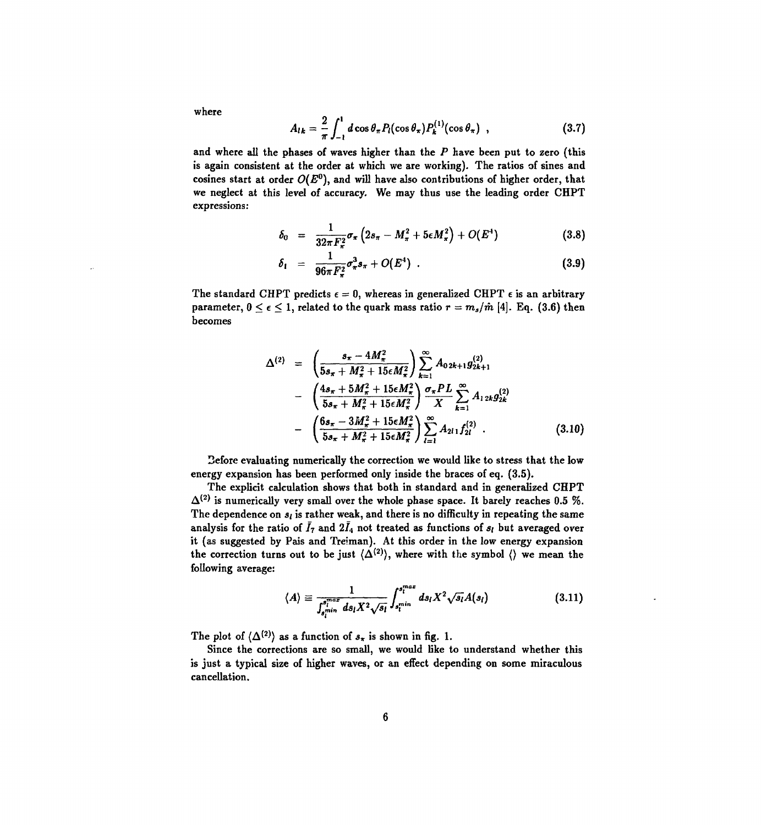where

$$
A_{lk} = \frac{2}{\pi} \int_{-1}^{1} d\cos\theta_{\pi} P_l(\cos\theta_{\pi}) P_k^{(1)}(\cos\theta_{\pi}) \quad , \tag{3.7}
$$

and where ail the phases of waves higher than the *P* have been put to zero (this is again consistent at the order at which we are working). The ratios of sines and cosines start at order *O(E°),* and will have also contributions of higher order, that we neglect at this level of accuracy. We may thus use the leading order CHPT expressions:

$$
\delta_0 = \frac{1}{32\pi F_\pi^2} \sigma_\pi \left(2s_\pi - M_\pi^2 + 5\epsilon M_\pi^2\right) + O(E^4)
$$
\n(3.8)

$$
\delta_1 = \frac{1}{96\pi F_\pi^2} \sigma_\pi^3 s_\pi + O(E^4) \quad . \tag{3.9}
$$

The standard CHPT predicts  $\epsilon = 0$ , whereas in generalized CHPT  $\epsilon$  is an arbitrary parameter,  $0 \le \epsilon \le 1$ , related to the quark mass ratio  $r = m_s/\hat{m}$  [4]. Eq. (3.6) then becomes

$$
\Delta^{(2)} = \left(\frac{s_{\pi} - 4M_{\pi}^2}{5s_{\pi} + M_{\pi}^2 + 15\epsilon M_{\pi}^2}\right) \sum_{k=1}^{\infty} A_{02k+1} g_{2k+1}^{(2)}
$$

$$
- \left(\frac{4s_{\pi} + 5M_{\pi}^2 + 15\epsilon M_{\pi}^2}{5s_{\pi} + M_{\pi}^2 + 15\epsilon M_{\pi}^2}\right) \frac{\sigma_{\pi} PL}{X} \sum_{k=1}^{\infty} A_{12k} g_{2k}^{(2)}
$$

$$
- \left(\frac{6s_{\pi} - 3M_{\pi}^2 + 15\epsilon M_{\pi}^2}{5s_{\pi} + M_{\pi}^2 + 15\epsilon M_{\pi}^2}\right) \sum_{l=1}^{\infty} A_{2l} f_{2l}^{(2)} . \tag{3.10}
$$

Sefore evaluating numerically the correction we would like to stress that the low energy expansion has been performed only inside the braces of eq. (3.5).

The explicit calculation shows that both in standard and in generalized CHPT  $\Delta^{(2)}$  is numerically very small over the whole phase space. It barely reaches 0.5 %. The dependence on  $s_i$  is rather weak, and there is no difficulty in repeating the same analysis for the ratio of  $\bar{I}_7$  and  $2\bar{I}_4$  not treated as functions of  $s_l$  but averaged over it (as suggested by Pais and Treiman). At this order in the low energy expansion the correction turns out to be just  $\langle \Delta^{(2)} \rangle$ , where with the symbol  $\langle \rangle$  we mean the following average:

$$
\langle A \rangle \equiv \frac{1}{\int_{s_i^{min}}^{s_i^{max}} ds_i X^2 \sqrt{s_i}} \int_{s_i^{min}}^{s_i^{max}} ds_i X^2 \sqrt{s_i} A(s_i)
$$
 (3.11)

The plot of  $\langle \Delta^{(2)} \rangle$  as a function of  $s_{\pi}$  is shown in fig. 1.

Since the corrections are so small, we would like to understand whether this is just a typical size of higher waves, or an effect depending on some miraculous cancellation.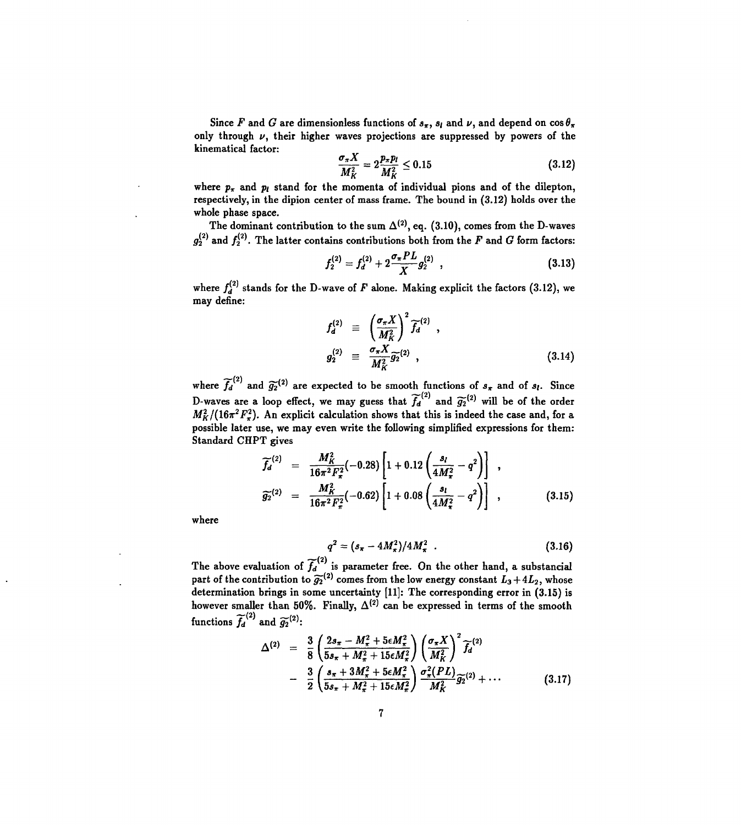Since F and G are dimensionless functions of  $s_{\pi}$ ,  $s_{l}$  and  $\nu$ , and depend on  $\cos \theta_{\pi}$ only through *v,* their higher waves projections are suppressed by powers of the kinematical factor:

$$
\frac{\sigma_{\pi}X}{M_K^2} = 2\frac{p_{\pi}p_l}{M_K^2} \le 0.15
$$
\n(3.12)

where  $p_{\pi}$  and  $p_l$  stand for the momenta of individual pions and of the dilepton, respectively, in the dipion center of mass frame. The bound in (3.12) holds over the whole phase space.

The dominant contribution to the sum  $\Delta^{(2)}$ , eq. (3.10), comes from the D-waves  $g_2^{(2)}$  and  $f_2^{(2)}$ . The latter contains contributions both from the F and G form factors:

$$
f_2^{(2)} = f_d^{(2)} + 2 \frac{\sigma_{\pi} PL}{X} g_2^{(2)} , \qquad (3.13)
$$

where  $f_d^{(2)}$  stands for the D-wave of *F* alone. Making explicit the factors (3.12), we may define:

$$
f_d^{(2)} \equiv \left(\frac{\sigma_\pi X}{M_K^2}\right)^2 \widetilde{f}_d^{(2)} ,
$$
  
\n
$$
g_2^{(2)} \equiv \frac{\sigma_\pi X}{M_K^2} \widetilde{g}_2^{(2)} ,
$$
\n(3.14)

where  $\widetilde{f_d}^{(2)}$  and  $\widetilde{g_2}^{(2)}$  are expected to be smooth functions of  $s_x$  and of  $s_l$ . Since D-waves are a loop effect, we may guess that  $\widetilde{f_d}^{(2)}$  and  $\widetilde{g_2}^{(2)}$  will be of the order  $M_K^2/(16\pi^2 F_\pi^2)$ . An explicit calculation shows that this is indeed the case and, for a possible later use, we may even write the following simplified expressions for them: Standard CHPT gives

$$
\widetilde{f}_d^{(2)} = \frac{M_K^2}{16\pi^2 F_\pi^2} (-0.28) \left[ 1 + 0.12 \left( \frac{s_l}{4M_\pi^2} - q^2 \right) \right] ,
$$
\n
$$
\widetilde{g}_2^{(2)} = \frac{M_K^2}{16\pi^2 F_\pi^2} (-0.62) \left[ 1 + 0.08 \left( \frac{s_l}{4M_\pi^2} - q^2 \right) \right] ,
$$
\n(3.15)

where

$$
q^2 = (s_{\pi} - 4M_{\pi}^2)/4M_{\pi}^2
$$
 (3.16)

*'—'(2)* The above evaluation of  $f_d$  is parameter free. On the other hand, a substancial part of the contribution to  $g_2^{y-z}$  comes from the low energy constant  $L_3 + 4L_2$ , whose<br>determination beings in some was related 111. The essence ding sesse in (9.15) is determination brings in some uncertainty  $[11]$ . The corresponding error in (3.15) is however smaller than 50%. Finally,  $\Delta$   $\gamma$  can be expressed in terms of the smooth functions  $f_d$ <sup>(2)</sup> and  $\widetilde{g_2}^{(2)}$ :

$$
\Delta^{(2)} = \frac{3}{8} \left( \frac{2s_{\pi} - M_{\pi}^2 + 5\epsilon M_{\pi}^2}{5s_{\pi} + M_{\pi}^2 + 15\epsilon M_{\pi}^2} \right) \left( \frac{\sigma_{\pi} X}{M_K^2} \right)^2 \widetilde{f}_d^{(2)} \n- \frac{3}{2} \left( \frac{s_{\pi} + 3M_{\pi}^2 + 5\epsilon M_{\pi}^2}{5s_{\pi} + M_{\pi}^2 + 15\epsilon M_{\pi}^2} \right) \frac{\sigma_{\pi}^2 (PL)}{M_K^2} \widetilde{g}_2^{(2)} + \cdots
$$
\n(3.17)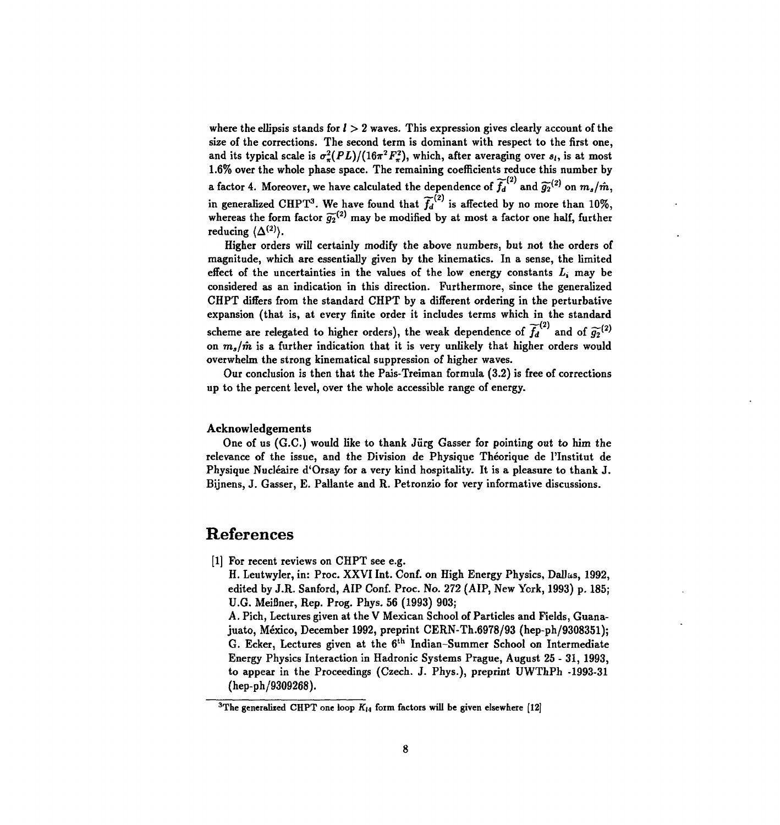where the ellipsis stands for  $l > 2$  waves. This expression gives clearly account of the size of the corrections. The second term is dominant with respect to the first one, and its typical scale is  $\sigma_{\pi}^2 (PL)/(16\pi^2 F_{\pi}^2)$ , which, after averaging over  $s_i$ , is at most 1.6% over the whole phase space. The remaining coefficients reduce this number by a factor 4. Moreover, we have calculated the dependence of  $\widetilde{f_d}^{\{2\}}$  and  $\widetilde{g_2}^{\{2\}}$  on  $m_s/\hat{m},$ in generalized CHPT<sup>3</sup>. We have found that  $\widetilde{f_d}^{(2)}$  is affected by no more than 10%, whereas the form factor  $\widetilde{g_2}^{\{2\}}$  may be modified by at most a factor one half, further reducing  $\langle \Delta^{(2)} \rangle$ .

Higher orders will certainly modify the above numbers, but not the orders of magnitude, which are essentially given by the kinematics. In a sense, the limited effect of the uncertainties in the values of the low energy constants *Li* may be considered as an indication in this direction. Furthermore, since the generalized CHPT differs from the standard CHPT by a different ordering in the perturbative expansion (that is, at every finite order it includes terms which in the standard scheme are relegated to higher orders), the weak dependence of  $\widetilde{f_d}^{(2)}$  and of  $\widetilde{g_2}^{(2)}$ on  $m<sub>s</sub>/m$  is a further indication that it is very unlikely that higher orders would overwhelm the strong kinematical suppression of higher waves.

Our conclusion is then that the Pais-Treiman formula (3.2) is free of corrections up to the percent level, over the whole accessible range of energy.

#### Acknowledgements

One of us (G.C.) would like to thank Jürg Gasser for pointing out to him the relevance of the issue, and the Division de Physique Théorique de l'Institut de Physique Nucléaire d'Orsay for a very kind hospitality. It is a pleasure to thank J. Bijnens, J. Gasser, E. Pallante and R. Petronzio for very informative discussions.

#### **References**

[1] For recent reviews on CHPT see e.g.

H. Leutwyler, in: Proc. XXVI Int. Conf. on High Energy Physics, Dallas, 1992, edited by J.R. Sanford, AIP Conf. Proc. No. 272 (AIP, New York, 1993) p. 185; U.G. Meifiner, Rep. Prog. Phys. 56 (1993) 903;

A. Pich, Lectures given at the V Mexican School of Particles and Fields, Guanajuato, Mexico, December 1992, preprint CERN-Th.6978/93 (hep-ph/9308351); G. Ecker, Lectures given at the 6<sup>th</sup> Indian-Summer School on Intermediate Energy Physics Interaction in Hadronic Systems Prague, August 25 - 31, 1993, to appear in the Proceedings (Czech. J. Phys.), preprint UWThPh -1993-31 (hep-ph/9309268).

<sup>&</sup>lt;sup>3</sup>The generalized CHPT one loop  $K_{14}$  form factors will be given elsewhere [12]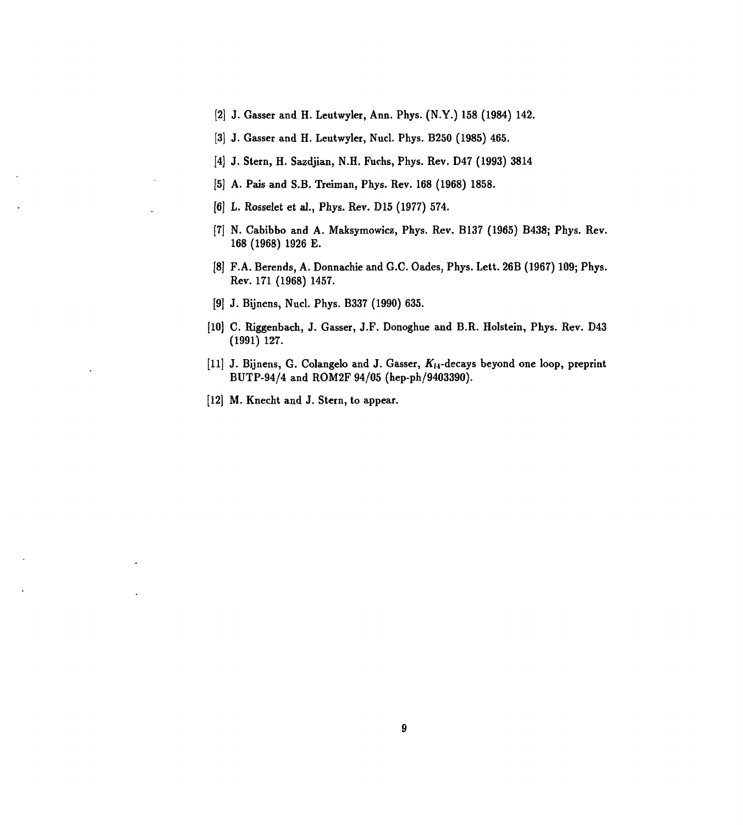- [2] J. Gasser and H. Leutwyler, Ann. Phys. (N.Y.) 158 (1984) 142.
- [3] J. Gasser and H. Leutwyler, Nucl. Phys. B250 (1985) 465.
- [4] J. Stern, H. Sazdjian, N.H. Fuchs, Phys. Rev. D47 (1993) 3814
- [5] A. Pais and S.B. Treiman, Phys. Rev. 168 (1968) 1858.
- [6] L. Rosselet et al., Phys. Rev. D15 (1977) 574.
- [7] N. Cabibbo and A. Maksymowicz, Phys. Rev. B137 (1965) B438; Phys. Rev. 168 (1968) 1926 E.
- [8] F.A. Berends, A. Donnachie and G.C. Oades, Phys. Lett. 26B (1967) 109; Phys. Rev. 171 (1968) 1457.
- [9] J. Bijnens, Nucl. Phys. B337 (1990) 635.
- [10] C. Riggenbach, J. Gasser, J.F. Donoghue and B.R. Holstein, Phys. Rev. D43 (1991) 127.
- [11] J. Bijnens, G. Colangelo and J. Gasser,  $K_{14}$ -decays beyond one loop, preprint BUTP-94/4 and ROM2F 94/05 (hep-ph/9403390).
- [12] M. Knecht and J. Stern, to appear.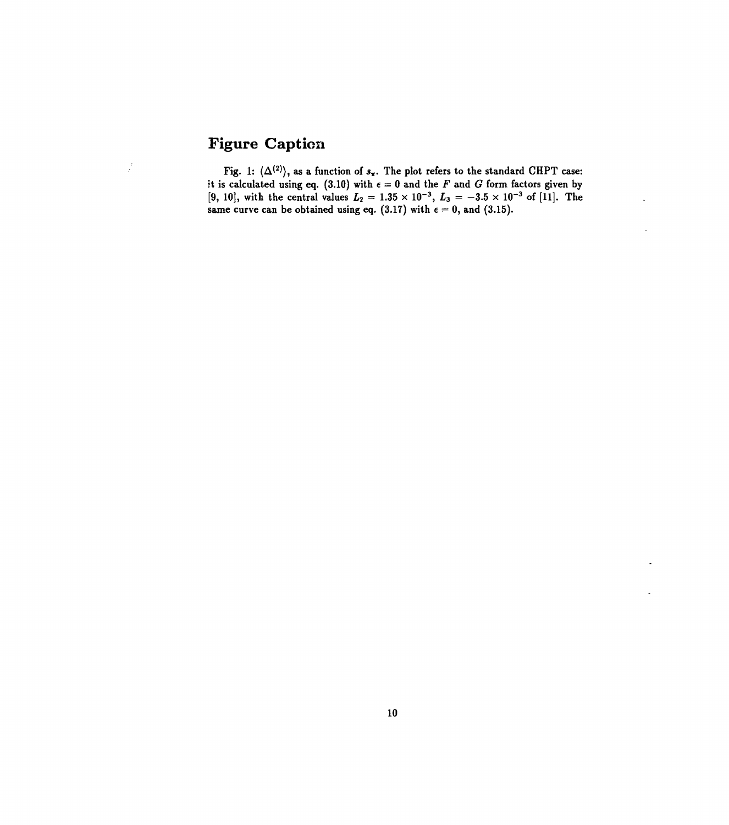## **Figure Caption**

 $\frac{1}{2}$ 

Fig. 1:  $\langle \Delta^{(2)} \rangle$ , as a function of  $s_{\pi}$ . The plot refers to the standard CHPT case: it is calculated using eq. (3.10) with  $\epsilon = 0$  and the *F* and *G* form factors given by [9, 10], with the central values  $L_2 = 1.35 \times 10^{-3}$ ,  $L_3 = -3.5 \times 10^{-3}$  of [11]. The same curve can be obtained using eq. (3.17) with  $\epsilon = 0$ , and (3.15).